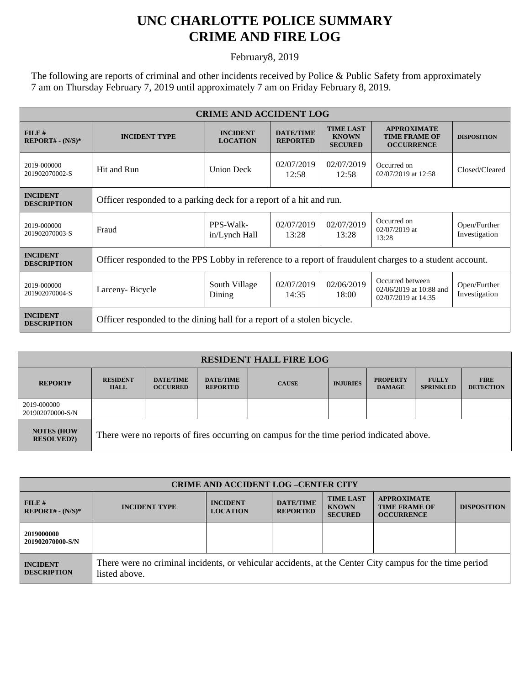## **UNC CHARLOTTE POLICE SUMMARY CRIME AND FIRE LOG**

February8, 2019

The following are reports of criminal and other incidents received by Police & Public Safety from approximately 7 am on Thursday February 7, 2019 until approximately 7 am on Friday February 8, 2019.

| <b>CRIME AND ACCIDENT LOG</b>         |                                                                                                         |                                    |                                     |                                                    |                                                                    |                               |  |
|---------------------------------------|---------------------------------------------------------------------------------------------------------|------------------------------------|-------------------------------------|----------------------------------------------------|--------------------------------------------------------------------|-------------------------------|--|
| FILE#<br>$REPORT# - (N/S)*$           | <b>INCIDENT TYPE</b>                                                                                    | <b>INCIDENT</b><br><b>LOCATION</b> | <b>DATE/TIME</b><br><b>REPORTED</b> | <b>TIME LAST</b><br><b>KNOWN</b><br><b>SECURED</b> | <b>APPROXIMATE</b><br><b>TIME FRAME OF</b><br><b>OCCURRENCE</b>    | <b>DISPOSITION</b>            |  |
| 2019-000000<br>201902070002-S         | Hit and Run                                                                                             | <b>Union Deck</b>                  | 02/07/2019<br>12:58                 | 02/07/2019<br>12:58                                | Occurred on<br>02/07/2019 at 12:58                                 | Closed/Cleared                |  |
| <b>INCIDENT</b><br><b>DESCRIPTION</b> | Officer responded to a parking deck for a report of a hit and run.                                      |                                    |                                     |                                                    |                                                                    |                               |  |
| 2019-000000<br>201902070003-S         | Fraud                                                                                                   | PPS-Walk-<br>in/Lynch Hall         | 02/07/2019<br>13:28                 | 02/07/2019<br>13:28                                | Occurred on<br>$02/07/2019$ at<br>13:28                            | Open/Further<br>Investigation |  |
| <b>INCIDENT</b><br><b>DESCRIPTION</b> | Officer responded to the PPS Lobby in reference to a report of fraudulent charges to a student account. |                                    |                                     |                                                    |                                                                    |                               |  |
| 2019-000000<br>201902070004-S         | Larceny-Bicycle                                                                                         | South Village<br>Dining            | 02/07/2019<br>14:35                 | 02/06/2019<br>18:00                                | Occurred between<br>02/06/2019 at 10:88 and<br>02/07/2019 at 14:35 | Open/Further<br>Investigation |  |
| <b>INCIDENT</b><br><b>DESCRIPTION</b> | Officer responded to the dining hall for a report of a stolen bicycle.                                  |                                    |                                     |                                                    |                                                                    |                               |  |

| <b>RESIDENT HALL FIRE LOG</b>          |                                                                                         |                                     |                                     |              |                 |                                  |                                  |                                 |
|----------------------------------------|-----------------------------------------------------------------------------------------|-------------------------------------|-------------------------------------|--------------|-----------------|----------------------------------|----------------------------------|---------------------------------|
| <b>REPORT#</b>                         | <b>RESIDENT</b><br><b>HALL</b>                                                          | <b>DATE/TIME</b><br><b>OCCURRED</b> | <b>DATE/TIME</b><br><b>REPORTED</b> | <b>CAUSE</b> | <b>INJURIES</b> | <b>PROPERTY</b><br><b>DAMAGE</b> | <b>FULLY</b><br><b>SPRINKLED</b> | <b>FIRE</b><br><b>DETECTION</b> |
| 2019-000000<br>201902070000-S/N        |                                                                                         |                                     |                                     |              |                 |                                  |                                  |                                 |
| <b>NOTES (HOW</b><br><b>RESOLVED?)</b> | There were no reports of fires occurring on campus for the time period indicated above. |                                     |                                     |              |                 |                                  |                                  |                                 |

| <b>CRIME AND ACCIDENT LOG-CENTER CITY</b> |                                                                                                                          |                                    |                                     |                                                    |                                                                 |                    |  |
|-------------------------------------------|--------------------------------------------------------------------------------------------------------------------------|------------------------------------|-------------------------------------|----------------------------------------------------|-----------------------------------------------------------------|--------------------|--|
| FILE H<br>$REPORT# - (N/S)*$              | <b>INCIDENT TYPE</b>                                                                                                     | <b>INCIDENT</b><br><b>LOCATION</b> | <b>DATE/TIME</b><br><b>REPORTED</b> | <b>TIME LAST</b><br><b>KNOWN</b><br><b>SECURED</b> | <b>APPROXIMATE</b><br><b>TIME FRAME OF</b><br><b>OCCURRENCE</b> | <b>DISPOSITION</b> |  |
| 2019000000<br>201902070000-S/N            |                                                                                                                          |                                    |                                     |                                                    |                                                                 |                    |  |
| <b>INCIDENT</b><br><b>DESCRIPTION</b>     | There were no criminal incidents, or vehicular accidents, at the Center City campus for the time period<br>listed above. |                                    |                                     |                                                    |                                                                 |                    |  |